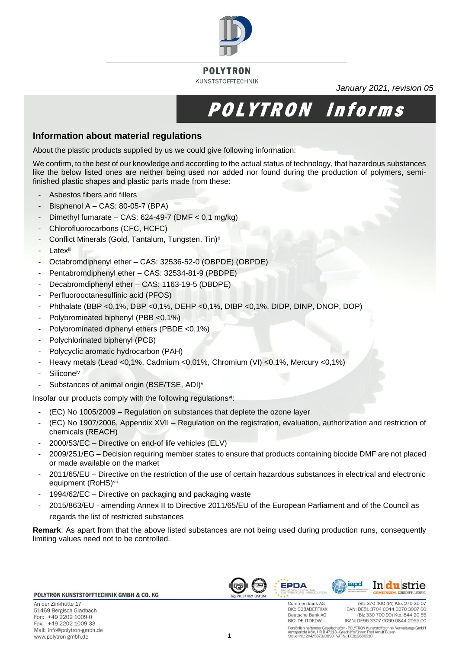

### **POLYTRON KUNSTSTOFFTECHNIK**

*January 2021, revision 05*

# POLYTRON informs

## **Information about material regulations**

About the plastic products supplied by us we could give following information:

We confirm, to the best of our knowledge and according to the actual status of technology, that hazardous substances like the below listed ones are neither being used nor added nor found during the production of polymers, semifinished plastic shapes and plastic parts made from these:

- Asbestos fibers and fillers
- Bisphenol A CAS: 80-05-7  $(BPA)^{i}$
- Dimethyl fumarate CAS:  $624-49-7$  (DMF <  $0.1$  mg/kg)
- Chlorofluorocarbons (CFC, HCFC)
- Conflict Minerals (Gold, Tantalum, Tungsten, Tin) ii
- **Latexiii**
- Octabromdiphenyl ether CAS: 32536-52-0 (OBPDE) (OBPDE)
- Pentabromdiphenyl ether CAS: 32534-81-9 (PBDPE)
- Decabromdiphenyl ether CAS: 1163-19-5 (DBDPE)
- Perfluorooctanesulfinic acid (PFOS)
- Phthalate (BBP <0,1%, DBP <0,1%, DEHP <0,1%, DIBP <0,1%, DIDP, DINP, DNOP, DOP)
- Polybrominated biphenyl (PBB <0,1%)
- Polybrominated diphenyl ethers (PBDE <0,1%)
- Polychlorinated biphenyl (PCB)
- Polycyclic aromatic hydrocarbon (PAH)
- Heavy metals (Lead <0,1%, Cadmium <0,01%, Chromium (VI) <0,1%, Mercury <0,1%)
- Silicone iv
- Substances of animal origin (BSE/TSE, ADI)<sup>v</sup>

Insofar our products comply with the following regulationsvi:

- (EC) No 1005/2009 Regulation on substances that deplete the ozone layer
- (EC) No 1907/2006, Appendix XVII Regulation on the registration, evaluation, authorization and restriction of chemicals (REACH)
- 2000/53/EC Directive on end-of life vehicles (ELV)
- 2009/251/EG Decision requiring member states to ensure that products containing biocide DMF are not placed or made available on the market
- 2011/65/EU Directive on the restriction of the use of certain hazardous substances in electrical and electronic equipment (RoHS) vii
- 1994/62/EC Directive on packaging and packaging waste
- 2015/863/EU amending Annex II to Directive 2011/65/EU of the European Parliament and of the Council as regards the list of restricted substances

**Remark**: As apart from that the above listed substances are not being used during production runs, consequently limiting values need not to be controlled.

#### POLYTRON KUNSTSTOFFTECHNIK GMBH & CO. KG

An der Zinkhütte 17 51469 Bergisch Gladbach Fon: +49 2202 1009 0 Fax: +49 2202 1009 33 Mail: info@polytron-gmbh.de www.polytron-gmbh.de